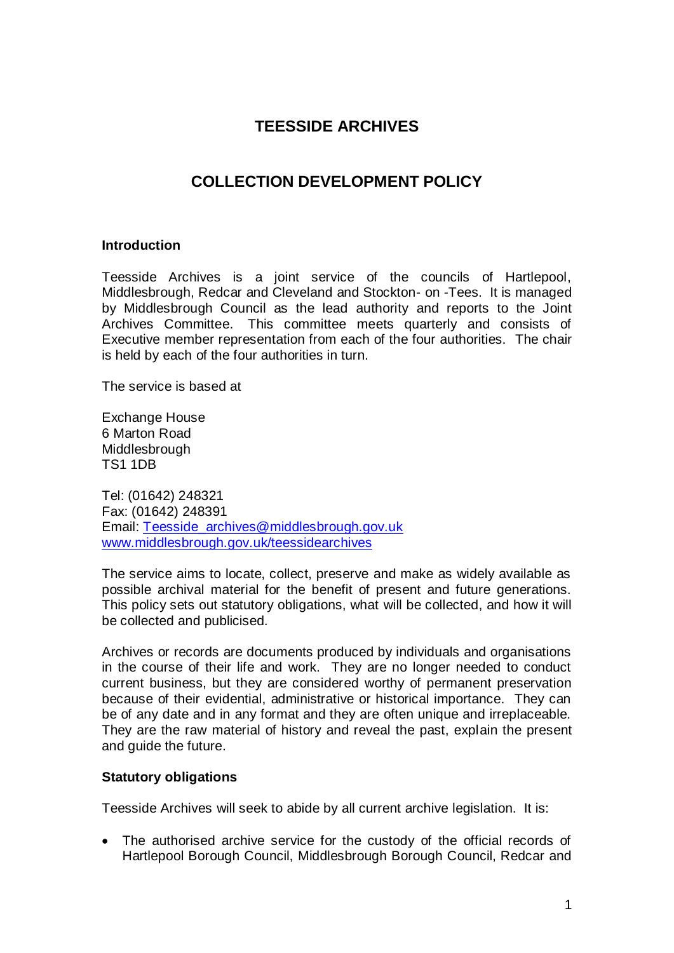# **TEESSIDE ARCHIVES**

# **COLLECTION DEVELOPMENT POLICY**

#### **Introduction**

Teesside Archives is a joint service of the councils of Hartlepool, Middlesbrough, Redcar and Cleveland and Stockton- on -Tees. It is managed by Middlesbrough Council as the lead authority and reports to the Joint Archives Committee. This committee meets quarterly and consists of Executive member representation from each of the four authorities. The chair is held by each of the four authorities in turn.

The service is based at

Exchange House 6 Marton Road Middlesbrough TS1 1DB

Tel: (01642) 248321 Fax: (01642) 248391 Email: [Teesside\\_archives@middlesbrough.gov.uk](mailto:Teesside_archives@middlesbrough.gov.uk) [www.middlesbrough.gov.uk/teessidearchives](http://www.middlesbrough.gov.uk/teessidearchives)

The service aims to locate, collect, preserve and make as widely available as possible archival material for the benefit of present and future generations. This policy sets out statutory obligations, what will be collected, and how it will be collected and publicised.

Archives or records are documents produced by individuals and organisations in the course of their life and work. They are no longer needed to conduct current business, but they are considered worthy of permanent preservation because of their evidential, administrative or historical importance. They can be of any date and in any format and they are often unique and irreplaceable. They are the raw material of history and reveal the past, explain the present and guide the future.

### **Statutory obligations**

Teesside Archives will seek to abide by all current archive legislation. It is:

 The authorised archive service for the custody of the official records of Hartlepool Borough Council, Middlesbrough Borough Council, Redcar and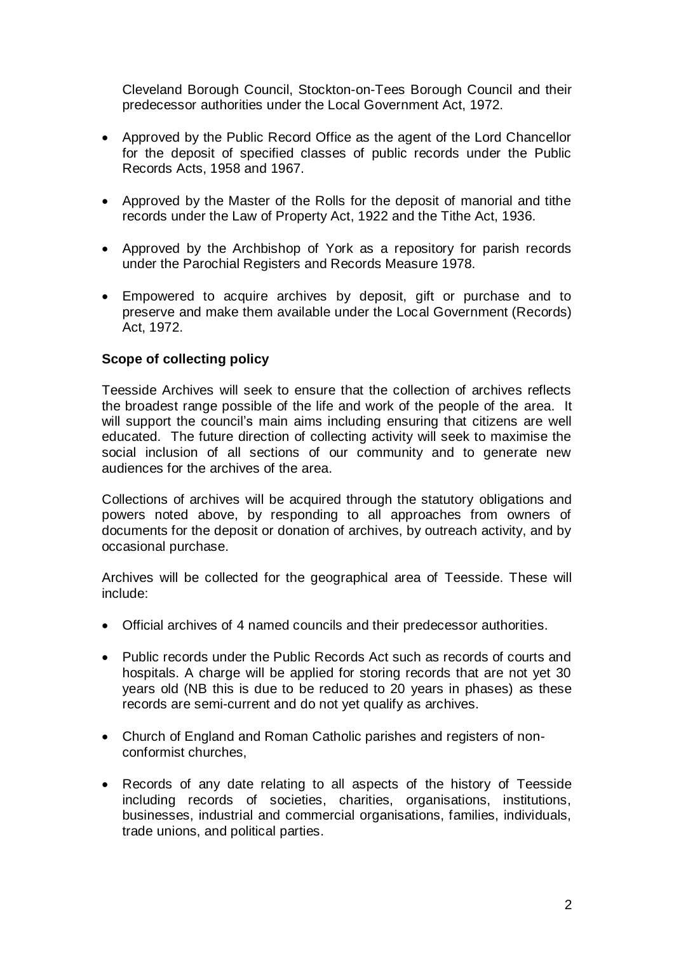Cleveland Borough Council, Stockton-on-Tees Borough Council and their predecessor authorities under the Local Government Act, 1972.

- Approved by the Public Record Office as the agent of the Lord Chancellor for the deposit of specified classes of public records under the Public Records Acts, 1958 and 1967.
- Approved by the Master of the Rolls for the deposit of manorial and tithe records under the Law of Property Act, 1922 and the Tithe Act, 1936.
- Approved by the Archbishop of York as a repository for parish records under the Parochial Registers and Records Measure 1978.
- Empowered to acquire archives by deposit, gift or purchase and to preserve and make them available under the Local Government (Records) Act, 1972.

### **Scope of collecting policy**

Teesside Archives will seek to ensure that the collection of archives reflects the broadest range possible of the life and work of the people of the area. It will support the council's main aims including ensuring that citizens are well educated. The future direction of collecting activity will seek to maximise the social inclusion of all sections of our community and to generate new audiences for the archives of the area.

Collections of archives will be acquired through the statutory obligations and powers noted above, by responding to all approaches from owners of documents for the deposit or donation of archives, by outreach activity, and by occasional purchase.

Archives will be collected for the geographical area of Teesside. These will include:

- Official archives of 4 named councils and their predecessor authorities.
- Public records under the Public Records Act such as records of courts and hospitals. A charge will be applied for storing records that are not yet 30 years old (NB this is due to be reduced to 20 years in phases) as these records are semi-current and do not yet qualify as archives.
- Church of England and Roman Catholic parishes and registers of nonconformist churches,
- Records of any date relating to all aspects of the history of Teesside including records of societies, charities, organisations, institutions, businesses, industrial and commercial organisations, families, individuals, trade unions, and political parties.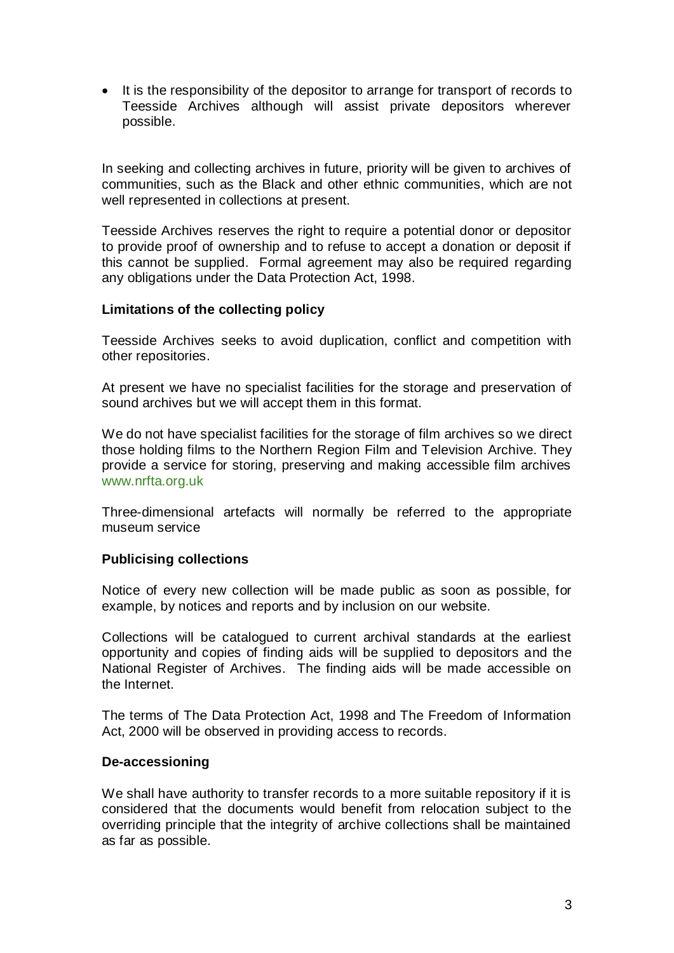• It is the responsibility of the depositor to arrange for transport of records to Teesside Archives although will assist private depositors wherever possible.

In seeking and collecting archives in future, priority will be given to archives of communities, such as the Black and other ethnic communities, which are not well represented in collections at present.

Teesside Archives reserves the right to require a potential donor or depositor to provide proof of ownership and to refuse to accept a donation or deposit if this cannot be supplied. Formal agreement may also be required regarding any obligations under the Data Protection Act, 1998.

#### **Limitations of the collecting policy**

Teesside Archives seeks to avoid duplication, conflict and competition with other repositories.

At present we have no specialist facilities for the storage and preservation of sound archives but we will accept them in this format.

We do not have specialist facilities for the storage of film archives so we direct those holding films to the Northern Region Film and Television Archive. They provide a service for storing, preserving and making accessible film archives www.nrfta.org.uk

Three-dimensional artefacts will normally be referred to the appropriate museum service

#### **Publicising collections**

Notice of every new collection will be made public as soon as possible, for example, by notices and reports and by inclusion on our website.

Collections will be catalogued to current archival standards at the earliest opportunity and copies of finding aids will be supplied to depositors and the National Register of Archives. The finding aids will be made accessible on the Internet.

The terms of The Data Protection Act, 1998 and The Freedom of Information Act, 2000 will be observed in providing access to records.

#### **De-accessioning**

We shall have authority to transfer records to a more suitable repository if it is considered that the documents would benefit from relocation subject to the overriding principle that the integrity of archive collections shall be maintained as far as possible.